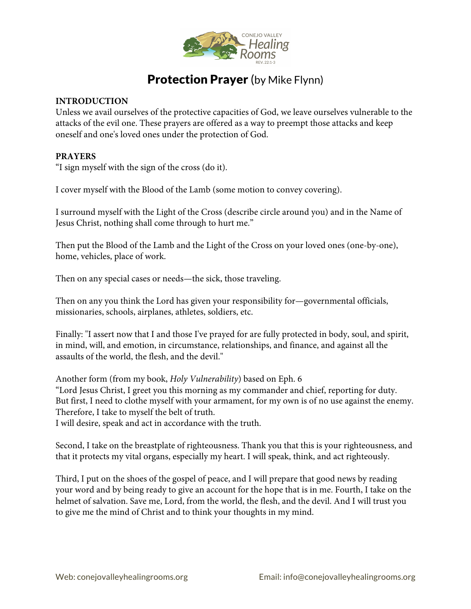

## **Protection Prayer** (by Mike Flynn)

## **INTRODUCTION**

Unless we avail ourselves of the protective capacities of God, we leave ourselves vulnerable to the attacks of the evil one. These prayers are offered as a way to preempt those attacks and keep oneself and one's loved ones under the protection of God.

## **PRAYERS**

"I sign myself with the sign of the cross (do it).

I cover myself with the Blood of the Lamb (some motion to convey covering).

I surround myself with the Light of the Cross (describe circle around you) and in the Name of Jesus Christ, nothing shall come through to hurt me."

Then put the Blood of the Lamb and the Light of the Cross on your loved ones (one-by-one), home, vehicles, place of work.

Then on any special cases or needs—the sick, those traveling.

Then on any you think the Lord has given your responsibility for—governmental officials, missionaries, schools, airplanes, athletes, soldiers, etc.

Finally: "I assert now that I and those I've prayed for are fully protected in body, soul, and spirit, in mind, will, and emotion, in circumstance, relationships, and finance, and against all the assaults of the world, the flesh, and the devil."

Another form (from my book, *Holy Vulnerability*) based on Eph. 6 "Lord Jesus Christ, I greet you this morning as my commander and chief, reporting for duty. But first, I need to clothe myself with your armament, for my own is of no use against the enemy. Therefore, I take to myself the belt of truth.

I will desire, speak and act in accordance with the truth.

Second, I take on the breastplate of righteousness. Thank you that this is your righteousness, and that it protects my vital organs, especially my heart. I will speak, think, and act righteously.

Third, I put on the shoes of the gospel of peace, and I will prepare that good news by reading your word and by being ready to give an account for the hope that is in me. Fourth, I take on the helmet of salvation. Save me, Lord, from the world, the flesh, and the devil. And I will trust you to give me the mind of Christ and to think your thoughts in my mind.